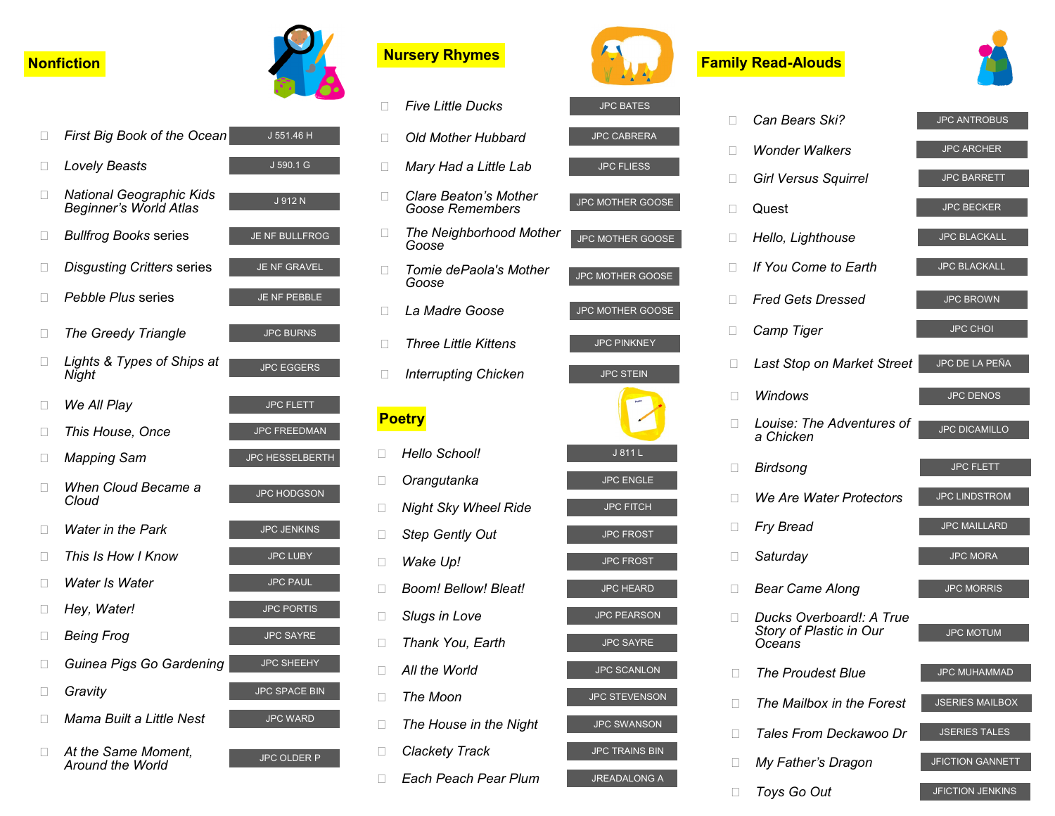## *We All Play* **Bullfrog Books series Disgusting Critters series The Greedy Triangle D** National Geographic Kids *Beginner's World Atlas* **Pebble Plus series** *Lovely Beasts Nater in the Park* **This Is How I Know This House, Once** *Lights & Types of Ships at Night* **IDC** Mapping Sam *D* When Cloud Became a *Cloud* **D** At the Same Moment, *Around the World Water Is Water Hey, Water!* **Being Frog Guinea Pigs Go Gardening Gravity** *Mama Built a Little Nest*

|              | <b>Nonfiction</b>                                         |                        |              | <b>Nursery Rhymes</b>            |
|--------------|-----------------------------------------------------------|------------------------|--------------|----------------------------------|
|              |                                                           |                        | П            | <b>Five Little Ducks</b>         |
| П            | First Big Book of the Ocean                               | J 551.46 H             | П            | <b>Old Mother Hubl</b>           |
| $\mathbf{L}$ | Lovely Beasts                                             | J 590.1 G              | O.           | Mary Had a Little                |
| П            | <b>National Geographic Kids</b><br>Beginner's World Atlas | J 912 N                | 0            | Clare Beaton's N<br>Goose Rememb |
| □            | <b>Bullfrog Books series</b>                              | JE NF BULLFROG         | П            | The Neighborho<br>Goose          |
| □            | <b>Disgusting Critters series</b>                         | <b>JE NF GRAVEL</b>    | u            | Tomie dePaola's<br>Goose         |
| $\Box$       | <i>Pebble Plus series</i>                                 | JE NF PEBBLE           | П.           | La Madre Goose                   |
| Ш            | The Greedy Triangle                                       | <b>JPC BURNS</b>       | П            | <b>Three Little Kitte</b>        |
| $\mathbf{I}$ | Lights & Types of Ships at<br>Night                       | <b>JPC EGGERS</b>      | П            | <b>Interrupting Chic</b>         |
| $\Box$       | We All Play                                               | <b>JPC FLETT</b>       |              |                                  |
| □            | This House, Once                                          | <b>JPC FREEDMAN</b>    |              | <b>Poetry</b>                    |
| □            | <b>Mapping Sam</b>                                        | <b>JPC HESSELBERTH</b> | $\Box$       | Hello School!                    |
| П            | When Cloud Became a                                       |                        | □            | Orangutanka                      |
|              | Cloud                                                     | <b>JPC HODGSON</b>     | $\Box$       | <b>Night Sky Wheel</b>           |
| $\mathbf{L}$ | <b>Water in the Park</b>                                  | <b>JPC JENKINS</b>     | □            | <b>Step Gently Out</b>           |
| П            | This Is How I Know                                        | <b>JPC LUBY</b>        | □            | Wake Up!                         |
| П            | Water Is Water                                            | <b>JPC PAUL</b>        | $\mathbf{L}$ | Boom! Bellow! Bl                 |
| $\Box$       | Hey, Water!                                               | <b>JPC PORTIS</b>      | □            | <b>Slugs in Love</b>             |
| □            | <b>Being Frog</b>                                         | <b>JPC SAYRE</b>       | □            | Thank You, Earth                 |
| $\mathbf{L}$ | Guinea Pigs Go Gardening                                  | <b>JPC SHEEHY</b>      | □            | All the World                    |
| □            | Gravity                                                   | <b>JPC SPACE BIN</b>   | П            | The Moon                         |
| П            | Mama Built a Little Nest                                  | <b>JPC WARD</b>        | □            | The House in the                 |
| $\Box$       | At the Same Moment,                                       | <b>JPC OLDER P</b>     | □            | <b>Clackety Track</b>            |
|              | Around the World                                          |                        | П            | Each Peach Pea                   |

| ×.           | <i>Five Little Ducks</i>                 | <b>JPC BATES</b>        |
|--------------|------------------------------------------|-------------------------|
| Ш            | Old Mother Hubbard                       | <b>JPC CABRERA</b>      |
| ×.           | Mary Had a Little Lab                    | <b>JPC FLIESS</b>       |
| П            | Clare Beaton's Mother<br>Goose Remembers | <b>JPC MOTHER GOOSE</b> |
| Ш            | The Neighborhood Mother<br>Goose         | JPC MOTHER GOOSE        |
| Ш            | Tomie dePaola's Mother<br>Goose          | <b>JPC MOTHER GOOSE</b> |
| $\mathbf{L}$ | La Madre Goose                           | JPC MOTHER GOOSE        |
| П            | <i>Three Little Kittens</i>              | <b>JPC PINKNEY</b>      |
| Ш            | <b>Interrupting Chicken</b>              | <b>JPC STEIN</b>        |
|              | <b>Poetry</b>                            |                         |
|              | Hello School!                            | J 811 L                 |
| $\mathbf{L}$ | Orangutanka                              | <b>JPC ENGLE</b>        |
| П            | <b>Night Sky Wheel Ride</b>              | <b>JPC FITCH</b>        |
| П            | <b>Step Gently Out</b>                   | <b>JPC FROST</b>        |
| $\mathbf{I}$ | Wake Up!                                 | <b>JPC FROST</b>        |
| $\mathbf{L}$ | Boom! Bellow! Bleat!                     | <b>JPC HEARD</b>        |
| П            | <b>Slugs in Love</b>                     | <b>JPC PEARSON</b>      |
| $\mathbf{I}$ | Thank You, Earth                         | <b>JPC SAYRE</b>        |
| $\Box$       | All the World                            | <b>JPC SCANLON</b>      |
|              | The Moon                                 | <b>JPC STEVENSON</b>    |
| $\mathbf{L}$ | The House in the Night                   | <b>JPC SWANSON</b>      |
| о            | <b>Clackety Track</b>                    | <b>JPC TRAINS BIN</b>   |
| $\mathbf{L}$ | Each Peach Pear Plum                     | <b>JREADALONG A</b>     |
|              |                                          |                         |

### **Family Read-Alouds**



| Ш            | Can Bears Ski?                                                | <b>JPC ANTROBUS</b>     |
|--------------|---------------------------------------------------------------|-------------------------|
| П            | <b>Wonder Walkers</b>                                         | <b>JPC ARCHER</b>       |
| П            | <b>Girl Versus Squirrel</b>                                   | <b>JPC BARRETT</b>      |
| $\mathbf{L}$ | Quest                                                         | <b>JPC BECKER</b>       |
| П            | Hello, Lighthouse                                             | <b>JPC BLACKALL</b>     |
| Ш            | If You Come to Earth                                          | <b>JPC BLACKALL</b>     |
| Ш            | <b>Fred Gets Dressed</b>                                      | <b>JPC BROWN</b>        |
| П            | Camp Tiger                                                    | <b>JPC CHOI</b>         |
| Ш            | Last Stop on Market Street                                    | JPC DE LA PEÑA          |
| Ш            | Windows                                                       | <b>JPC DENOS</b>        |
| Н            | Louise: The Adventures of<br>a Chicken                        | <b>JPC DICAMILLO</b>    |
| Ш            | <b>Birdsong</b>                                               | <b>JPC FLETT</b>        |
| П            | We Are Water Protectors                                       | <b>JPC LINDSTROM</b>    |
| Н            | <b>Fry Bread</b>                                              | <b>JPC MAILLARD</b>     |
| Н            | Saturday                                                      | <b>JPC MORA</b>         |
| Н            | Bear Came Along                                               | <b>JPC MORRIS</b>       |
| П            | Ducks Overboard!: A True<br>Story of Plastic in Our<br>Oceans | <b>JPC MOTUM</b>        |
| H            | <b>The Proudest Blue</b>                                      | <b>JPC MUHAMMAD</b>     |
| □            | The Mailbox in the Forest                                     | <b>JSERIES MAILBOX</b>  |
| П            | Tales From Deckawoo Dr                                        | <b>JSERIES TALES</b>    |
| п            | My Father's Dragon                                            | <b>JFICTION GANNETT</b> |
| u            | Toys Go Out                                                   | JFICTION JENKINS        |